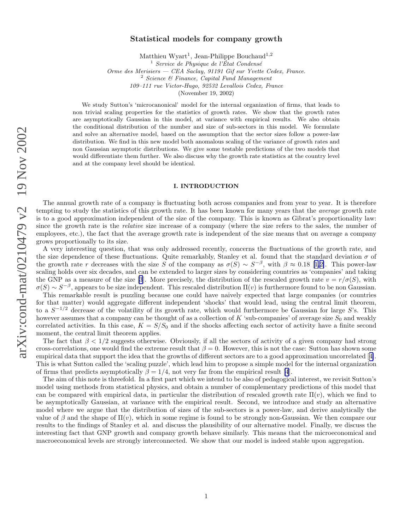# Statistical models for company growth

Matthieu Wyart<sup>1</sup>, Jean-Philippe Bouchaud<sup>1,2</sup>

<sup>1</sup> Service de Physique de l'État Condensé

Orme des Merisiers — CEA Saclay, 91191 Gif sur Yvette Cedex, France.<br>
<sup>2</sup> Science & Finance, Capital Fund Management

109–111 rue Victor-Hugo, 92532 Levallois Cedex, France

(November 19, 2002)

We study Sutton's 'microcanonical' model for the internal organization of firms, that leads to non trivial scaling properties for the statistics of growth rates. We show that the growth rates are asymptotically Gaussian in this model, at variance with empirical results. We also obtain the conditional distribution of the number and size of sub-sectors in this model. We formulate and solve an alternative model, based on the assumption that the sector sizes follow a power-law distribution. We find in this new model both anomalous scaling of the variance of growth rates and non Gaussian asymptotic distributions. We give some testable predictions of the two models that would differentiate them further. We also discuss why the growth rate statistics at the country level and at the company level should be identical.

### I. INTRODUCTION

The annual growth rate of a company is fluctuating both across companies and from year to year. It is therefore tempting to study the statistics of this growth rate. It has been known for many years that the average growth rate is to a good approximation independent of the size of the company. This is known as Gibrat's proportionality law: since the growth rate is the *relative* size increase of a company (where the size refers to the sales, the number of employees, etc.), the fact that the average growth rate is independent of the size means that on average a company grows proportionally to its size.

A very interesting question, that was only addressed recently, concerns the fluctuations of the growth rate, and the size dependence of these fluctuations. Quite remarkably, Stanley et al. found that the standard deviation  $\sigma$  of thegrowth rate r decreases with the size S of the company as  $\sigma(S) \sim S^{-\beta}$ , with  $\beta \approx 0.18$  [[1,2\]](#page-9-0). This power-law scaling holds over six decades, and can be extended to larger sizes by considering countries as 'companies' and taking the GNP as a measure of the size [\[3](#page-9-0)]. More precisely, the distribution of the rescaled growth rate  $v = r/\sigma(S)$ , with  $\sigma(S) \sim S^{-\beta}$ , appears to be size independent. This rescaled distribution  $\Pi(v)$  is furthermore found to be non Gaussian.

This remarkable result is puzzling because one could have naively expected that large companies (or countries for that matter) would aggregate different independent 'shocks' that would lead, using the central limit theorem, to a  $S^{-1/2}$  decrease of the volatility of its growth rate, which would furthermore be Gaussian for large S's. This however assumes that a company can be thought of as a collection of  $K$  'sub-companies' of average size  $S_0$  and weakly correlated activities. In this case,  $K = S/S_0$  and if the shocks affecting each sector of activity have a finite second moment, the central limit theorem applies.

The fact that  $\beta < 1/2$  suggests otherwise. Obviously, if all the sectors of activity of a given company had strong cross-correlations, one would find the extreme result that  $\beta = 0$ . However, this is not the case: Sutton has shown some empirical data that support the idea that the growths of different sectors are to a good approximation uncorrelated[[4\]](#page-9-0). This is what Sutton called the 'scaling puzzle', which lead him to propose a simple model for the internal organization of firms that predicts asymptotically  $\beta = 1/4$ , not very far from the empirical result [\[4](#page-9-0)].

The aim of this note is threefold. In a first part which we intend to be also of pedagogical interest, we revisit Sutton's model using methods from statistical physics, and obtain a number of complementary predictions of this model that can be compared with empirical data, in particular the distribution of rescaled growth rate  $\Pi(v)$ , which we find to be asymptotically Gaussian, at variance with the empirical result. Second, we introduce and study an alternative model where we argue that the distribution of sizes of the sub-sectors is a power-law, and derive analytically the value of  $\beta$  and the shape of  $\Pi(v)$ , which in some regime is found to be strongly non-Gaussian. We then compare our results to the findings of Stanley et al. and discuss the plausibility of our alternative model. Finally, we discuss the interesting fact that GNP growth and company growth behave similarly. This means that the microeconomical and macroeconomical levels are strongly interconnected. We show that our model is indeed stable upon aggregation.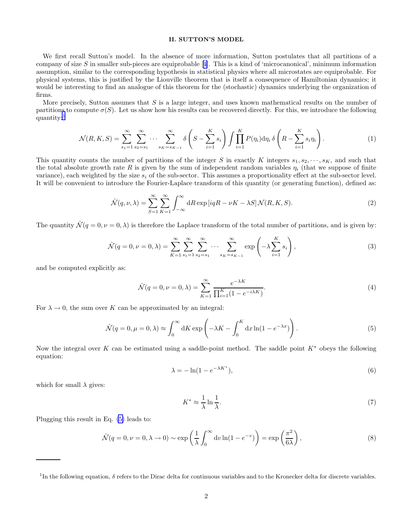# II. SUTTON'S MODEL

We first recall Sutton's model. In the absence of more information, Sutton postulates that all partitions of a companyof size  $S$  in smaller sub-pieces are equiprobable [[4\]](#page-9-0). This is a kind of 'microcanonical', minimum information assumption, similar to the corresponding hypothesis in statistical physics where all microstates are equiprobable. For physical systems, this is justified by the Liouville theorem that is itself a consequence of Hamiltonian dynamics; it would be interesting to find an analogue of this theorem for the (stochastic) dynamics underlying the organization of firms.

More precisely, Sutton assumes that  $S$  is a large integer, and uses known mathematical results on the number of partitions to compute  $\sigma(S)$ . Let us show how his results can be recovered directly. For this, we introduce the following quantity:<sup>1</sup>

$$
\mathcal{N}(R,K,S) = \sum_{s_1=1}^{\infty} \sum_{s_2=s_1}^{\infty} \cdots \sum_{s_K=s_{K-1}}^{\infty} \delta\left(S - \sum_{i=1}^{K} s_i\right) \int \prod_{i=1}^{K} P(\eta_i) d\eta_i \delta\left(R - \sum_{i=1}^{K} s_i \eta_i\right).
$$
 (1)

This quantity counts the number of partitions of the integer S in exactly K integers  $s_1, s_2, \dots, s_K$ , and such that the total absolute growth rate R is given by the sum of independent random variables  $\eta_i$  (that we suppose of finite variance), each weighted by the size  $s_i$  of the sub-sector. This assumes a proportionality effect at the sub-sector level. It will be convenient to introduce the Fourier-Laplace transform of this quantity (or generating function), defined as:

$$
\hat{\mathcal{N}}(q,\nu,\lambda) = \sum_{S=1}^{\infty} \sum_{K=1}^{\infty} \int_{-\infty}^{\infty} dR \exp[iqR - \nu K - \lambda S] \mathcal{N}(R,K,S).
$$
\n(2)

The quantity  $\mathcal{N}(q=0, \nu=0, \lambda)$  is therefore the Laplace transform of the total number of partitions, and is given by:

$$
\hat{\mathcal{N}}(q=0,\nu=0,\lambda) = \sum_{K=1}^{\infty} \sum_{s_1=1}^{\infty} \sum_{s_2=s_1}^{\infty} \cdots \sum_{s_K=s_{K-1}}^{\infty} \exp\left(-\lambda \sum_{i=1}^{K} s_i\right),\tag{3}
$$

and be computed explicitly as:

$$
\hat{\mathcal{N}}(q=0,\nu=0,\lambda) = \sum_{K=1}^{\infty} \frac{e^{-\lambda K}}{\prod_{i=1}^{K} (1 - e^{-i\lambda K})}.
$$
\n(4)

For  $\lambda \to 0$ , the sum over K can be approximated by an integral:

$$
\hat{\mathcal{N}}(q=0,\mu=0,\lambda) \approx \int_0^\infty \mathrm{d}K \exp\left(-\lambda K - \int_0^K \mathrm{d}x \ln(1 - e^{-\lambda x})\right). \tag{5}
$$

Now the integral over K can be estimated using a saddle-point method. The saddle point  $K^*$  obeys the following equation:

$$
\lambda = -\ln(1 - e^{-\lambda K^*}),\tag{6}
$$

which for small  $\lambda$  gives:

$$
K^* \approx \frac{1}{\lambda} \ln \frac{1}{\lambda}.\tag{7}
$$

Plugging this result in Eq. (5) leads to:

$$
\hat{\mathcal{N}}(q=0,\nu=0,\lambda\to 0) \sim \exp\left(\frac{1}{\lambda} \int_0^\infty dv \ln(1-e^{-v})\right) = \exp\left(\frac{\pi^2}{6\lambda}\right),\tag{8}
$$

<sup>&</sup>lt;sup>1</sup>In the following equation,  $\delta$  refers to the Dirac delta for continuous variables and to the Kronecker delta for discrete variables.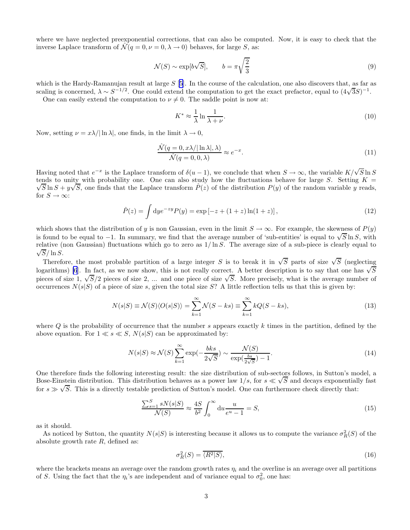where we have neglected preexponential corrections, that can also be computed. Now, it is easy to check that the inverse Laplace transform of  $\mathcal{N}(q=0,\nu=0,\lambda\to 0)$  behaves, for large S, as:

$$
\mathcal{N}(S) \sim \exp[b\sqrt{S}], \qquad b = \pi \sqrt{\frac{2}{3}} \tag{9}
$$

which is the Hardy-Ramanujan result at large  $S$  [\[5](#page-9-0)]. In the course of the calculation, one also discovers that, as far as scaling is concerned,  $\lambda \sim S^{-1/2}$ . One could extend the computation to get the exact prefactor, equal to  $(4\sqrt{3}S)^{-1}$ .

One can easily extend the computation to  $\nu \neq 0$ . The saddle point is now at:

$$
K^* \approx \frac{1}{\lambda} \ln \frac{1}{\lambda + \nu}.\tag{10}
$$

Now, setting  $\nu = x\lambda/|\ln \lambda|$ , one finds, in the limit  $\lambda \to 0$ ,

$$
\frac{\hat{\mathcal{N}}(q=0, x\lambda/|\ln\lambda|, \lambda)}{\hat{\mathcal{N}}(q=0, 0, \lambda)} \approx e^{-x}.\tag{11}
$$

Having noted that  $e^{-x}$  is the Laplace transform of  $\delta(u-1)$ , we conclude that when  $S \to \infty$ , the variable  $K/\sqrt{S} \ln S$ tends to unity with probability one. One can also study how the fluctuations behave for large S. Setting  $K = \sqrt{S} \ln S + w/\sqrt{S}$  and finds that the Laplace transform  $\hat{P}(z)$  of the distribution  $P(z)$  of the random variable  $\overline{S}$  ln  $S + y\sqrt{S}$ , one finds that the Laplace transform  $\hat{P}(z)$  of the distribution  $P(y)$  of the random variable y reads, for  $S\to\infty$ :

$$
\hat{P}(z) = \int \mathrm{d}y e^{-zy} P(y) = \exp\left[-z + (1+z)\ln(1+z)\right],\tag{12}
$$

which shows that the distribution of y is non Gaussian, even in the limit  $S \to \infty$ . For example, the skewness of  $P(y)$ is found to be equal to  $-1$ . In summary, we find that the average number of 'sub-entities' is equal to  $\sqrt{S} \ln S$ , with relative (non Gaussian) fluctuations which go to zero as  $1/\ln S$ . The average size of a sub-piece is clearly equal to  $\sqrt{S}/\ln S$ .

Therefore, the most probable partition of a large integer S is to break it in  $\sqrt{S}$  parts of size  $\sqrt{S}$  (neglecting logarithms) [\[6](#page-9-0)]. In fact, as we now show, this is not really correct. A better description is to say that one has  $\sqrt{S}$ pieces of size 1,  $\sqrt{S}/2$  pieces of size 2, ... and one piece of size  $\sqrt{S}$ . More precisely, what is the average number of occurrences  $N(s|S)$  of a piece of size s, given the total size S? A little reflection tells us that this is given by:

$$
N(s|S) \equiv \mathcal{N}(S)\langle O(s|S)\rangle = \sum_{k=1}^{\infty} \mathcal{N}(S - ks) \equiv \sum_{k=1}^{\infty} kQ(S - ks),\tag{13}
$$

where  $Q$  is the probability of occurrence that the number s appears exactly k times in the partition, defined by the above equation. For  $1 \ll s \ll S$ ,  $N(s|S)$  can be approximated by:

$$
N(s|S) \approx \mathcal{N}(S) \sum_{k=1}^{\infty} \exp\left(-\frac{bks}{2\sqrt{S}}\right) \sim \frac{\mathcal{N}(S)}{\exp\left(\frac{bs}{2\sqrt{S}}\right) - 1}.\tag{14}
$$

One therefore finds the following interesting result: the size distribution of sub-sectors follows, in Sutton's model, a Bose-Einstein distribution. This distribution behaves as a power law  $1/s$ , for  $s \ll \sqrt{S}$  and decays exponentially fast for  $s \gg \sqrt{S}$ . This is a directly testable prediction of Sutton's model. One can furthermore check directly that:

$$
\frac{\sum_{s=1}^{S} sN(s|S)}{\mathcal{N}(S)} \approx \frac{4S}{b^2} \int_0^\infty \mathrm{d}u \frac{u}{e^u - 1} = S,\tag{15}
$$

as it should.

As noticed by Sutton, the quantity  $N(s|S)$  is interesting because it allows us to compute the variance  $\sigma_R^2(S)$  of the absolute growth rate  $R$ , defined as:

$$
\sigma_R^2(S) = \overline{\langle R^2 | S \rangle},\tag{16}
$$

where the brackets means an average over the random growth rates  $\eta_i$  and the overline is an average over all partitions of S. Using the fact that the  $\eta_i$ 's are independent and of variance equal to  $\sigma_0^2$ , one has: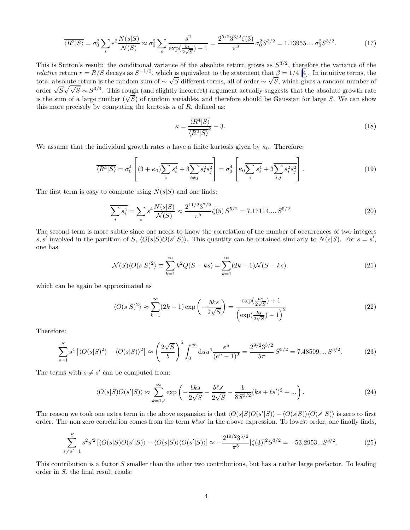$$
\overline{\langle R^2|S\rangle} = \sigma_0^2 \sum_s s^2 \frac{N(s|S)}{N(S)} \approx \sigma_0^2 \sum_s \frac{s^2}{\exp(\frac{bs}{2\sqrt{S}}) - 1} = \frac{2^{5/2}3^{3/2}\zeta(3)}{\pi^3} \sigma_0^2 S^{3/2} = 1.13955\ldots\sigma_0^2 S^{3/2}.\tag{17}
$$

This is Sutton's result: the conditional variance of the absolute return grows as  $S^{3/2}$ , therefore the variance of the *relative* return  $r = R/S$  decays as  $S^{-1/2}$ , which is equivalent to the statement that  $\beta = 1/4$  [\[4](#page-9-0)]. In intuitive terms, the total absolute return is the random sum of ~  $\sqrt{S}$  different terms, all of order ~  $\sqrt{S}$ , which gives a random number of order  $\sqrt{S}\sqrt{\sqrt{S}} \sim S^{3/4}$ . This rough (and slightly incorrect) argument actually suggests that the absolute growth rate is the sum of a large number  $(\sqrt{S})$  of random variables, and therefore should be Gaussian for large S. We can show this more precisely by computing the kurtosis  $\kappa$  of R, defined as:

$$
\kappa = \frac{\overline{\langle R^4 | S \rangle}}{\overline{\langle R^2 | S \rangle}^2} - 3. \tag{18}
$$

We assume that the individual growth rates  $\eta$  have a finite kurtosis given by  $\kappa_0$ . Therefore:

$$
\overline{\langle R^4|S\rangle} = \sigma_0^4 \left[ (3 + \kappa_0) \overline{\sum_i s_i^4} + 3 \overline{\sum_{i \neq j} s_i^2 s_j^2} \right] = \sigma_0^4 \left[ \kappa_0 \overline{\sum_i s_i^4} + 3 \overline{\sum_i s_i^2 s_j^2} \right].
$$
\n(19)

The first term is easy to compute using  $N(s|S)$  and one finds:

$$
\sum_{i} s_i^4 = \sum_{s} s^4 \frac{N(s|S)}{N(S)} \approx \frac{2^{11/2} 3^{7/2}}{\pi^5} \zeta(5) S^{5/2} = 7.17114....S^{5/2}
$$
 (20)

The second term is more subtle since one needs to know the correlation of the number of occurrences of two integers s, s' involved in the partition of S,  $\langle O(s|S)O(s'|S) \rangle$ . This quantity can be obtained similarly to  $N(s|S)$ . For  $s = s'$ , one has:

$$
\mathcal{N}(S)\langle O(s|S)^2\rangle \equiv \sum_{k=1}^{\infty} k^2 Q(S-ks) = \sum_{k=1}^{\infty} (2k-1)\mathcal{N}(S-ks). \tag{21}
$$

which can be again be approximated as

$$
\langle O(s|S)^2 \rangle \approx \sum_{k=1}^{\infty} (2k-1) \exp\left(-\frac{bks}{2\sqrt{S}}\right) = \frac{\exp(\frac{bs}{2\sqrt{S}}) + 1}{\left(\exp(\frac{bs}{2\sqrt{S}}) - 1\right)^2}
$$
(22)

Therefore:

$$
\sum_{s=1}^{S} s^4 \left[ \langle O(s|S)^2 \rangle - \langle O(s|S) \rangle^2 \right] \approx \left( \frac{2\sqrt{S}}{b} \right)^5 \int_0^\infty du u^4 \frac{e^u}{(e^u - 1)^2} = \frac{2^{9/2} 3^{3/2}}{5\pi} S^{5/2} = 7.48509....S^{5/2}.
$$
 (23)

The terms with  $s \neq s'$  can be computed from:

$$
\langle O(s|S)O(s'|S) \rangle \approx \sum_{k=1,\ell}^{\infty} \exp\left(-\frac{bks}{2\sqrt{S}} - \frac{b\ell s'}{2\sqrt{S}} - \frac{b}{8S^{3/2}}(ks + \ell s')^2 + \ldots\right).
$$
 (24)

The reason we took one extra term in the above expansion is that  $\langle O(s|S)O(s'|S)\rangle - \langle O(s|S)\rangle \langle O(s'|S)\rangle$  is zero to first order. The non zero correlation comes from the term  $k\ell ss'$  in the above expression. To lowest order, one finally finds,

$$
\sum_{s \neq s'=1}^{S} s^2 s'^2 \left[ \langle O(s|S)O(s'|S) \rangle - \langle O(s|S) \rangle \langle O(s'|S) \rangle \right] \approx -\frac{2^{19/2} 3^{5/2}}{\pi^5} [\zeta(3)]^2 S^{3/2} = -53.2953... S^{3/2}.
$$
 (25)

This contribution is a factor S smaller than the other two contributions, but has a rather large prefactor. To leading order in S, the final result reads: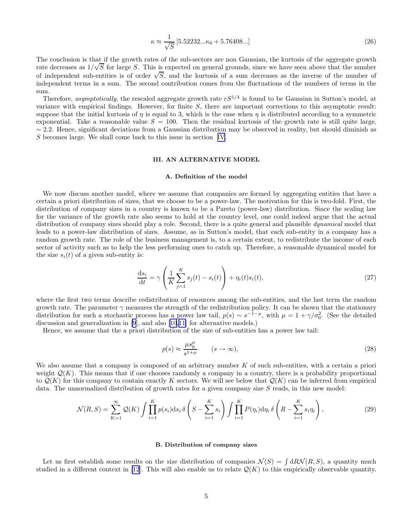$$
\kappa \approx \frac{1}{\sqrt{S}} \left[ 5.52232...\kappa_0 + 5.76408...\right] \tag{26}
$$

The conclusion is that if the growth rates of the sub-sectors are non Gaussian, the kurtosis of the aggregate growth The concrussion is that it the growth rates of the sub-sectors are non-claussian, the numbers of the aggregate growth rates or the sub-sectors are non-claussian, the number of independent sub-entities is of order  $\sqrt{S}$ , and the kurtosis of a sum decreases as the inverse of the number of independent terms in a sum. The second contribution comes from the fluctuations of the numbers of terms in the sum.

Therefore, asymptotically, the rescaled aggregate growth rate  $rS^{1/4}$  is found to be Gaussian in Sutton's model, at variance with empirical findings. However, for finite  $S$ , there are important corrections to this asymptotic result: suppose that the initial kurtosis of  $\eta$  is equal to 3, which is the case when  $\eta$  is distributed according to a symmetric exponential. Take a reasonable value  $S = 100$ . Then the residual kurtosis of the growth rate is still quite large,  $\sim$  2.2. Hence, significant deviations from a Gaussian distribution may be observed in reality, but should diminish as S becomes large. We shall come back to this issue in section [IV.](#page-7-0)

### III. AN ALTERNATIVE MODEL

# A. Definition of the model

We now discuss another model, where we assume that companies are formed by aggregating entities that have a certain a priori distribution of sizes, that we choose to be a power-law. The motivation for this is two-fold. First, the distribution of company sizes in a country is known to be a Pareto (power-law) distribution. Since the scaling law for the variance of the growth rate also seems to hold at the country level, one could indeed argue that the actual distribution of company sizes should play a role. Second, there is a quite general and plausible *dynamical* model that leads to a power-law distribution of sizes. Assume, as in Sutton's model, that each sub-entity in a company has a random growth rate. The role of the business management is, to a certain extent, to redistribute the income of each sector of activity such as to help the less performing ones to catch up. Therefore, a reasonable dynamical model for the size  $s_i(t)$  of a given sub-entity is:

$$
\frac{\mathrm{d}s_i}{\mathrm{d}t} = \gamma \left( \frac{1}{K} \sum_{j=1}^{K} s_j(t) - s_i(t) \right) + \eta_i(t) s_i(t),\tag{27}
$$

where the first two terms describe redistribution of resources among the sub-entities, and the last term the random growth rate. The parameter  $\gamma$  measures the strength of the redistribution policy. It can be shown that the stationary distribution for such a stochastic process has a power law tail,  $p(s) \sim s^{-1-\mu}$ , with  $\mu = 1 + \gamma/\sigma_0^2$ . (See the detailed discussion and generalization in [\[9](#page-9-0)], and also [\[10](#page-9-0),[11](#page-9-0)] for alternative models.)

Hence, we assume that the a priori distribution of the size of sub-entities has a power law tail:

$$
p(s) \approx \frac{\mu s_0^{\mu}}{s^{1+\mu}} \qquad (s \to \infty),
$$
\n(28)

We also assume that a company is composed of an arbitrary number K of such sub-entities, with a certain a priori weight  $\mathcal{Q}(K)$ . This means that if one chooses randomly a company in a country, there is a probability proportional to  $\mathcal{Q}(K)$  for this company to contain exactly K sectors. We will see below that  $\mathcal{Q}(K)$  can be inferred from empirical data. The unnormalized distribution of growth rates for a given company size  $S$  reads, in this new model:

$$
\mathcal{N}(R,S) = \sum_{K=1}^{\infty} \mathcal{Q}(K) \int \prod_{i=1}^{K} p(s_i) \mathrm{d}s_i \,\delta\left(S - \sum_{i=1}^{K} s_i\right) \int \prod_{i=1}^{K} P(\eta_i) \mathrm{d}\eta_i \,\delta\left(R - \sum_{i=1}^{K} s_i \eta_i\right),\tag{29}
$$

#### B. Distribution of company sizes

Let us first establish some results on the size distribution of companies  $\mathcal{N}(S) = \int dR \mathcal{N}(R, S)$ , a quantity much studied in a different context in [\[12](#page-9-0)]. This will also enable us to relate  $\mathcal{Q}(K)$  to this empirically observable quantity.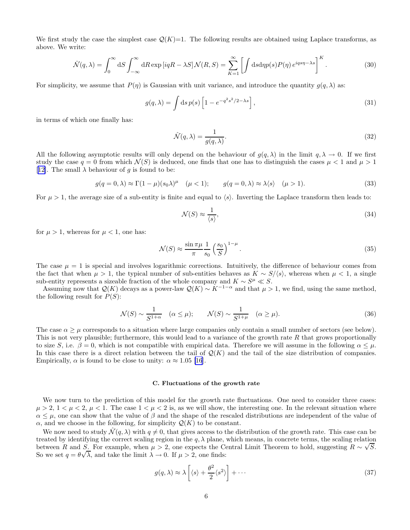We first study the case the simplest case  $\mathcal{Q}(K)=1$ . The following results are obtained using Laplace transforms, as above. We write:

$$
\hat{\mathcal{N}}(q,\lambda) = \int_0^\infty dS \int_{-\infty}^\infty dR \exp[iqR - \lambda S] \mathcal{N}(R,S) = \sum_{K=1}^\infty \left[ \int ds d\eta p(s) P(\eta) e^{iqs\eta - \lambda s} \right]^K.
$$
\n(30)

For simplicity, we assume that  $P(\eta)$  is Gaussian with unit variance, and introduce the quantity  $g(q, \lambda)$  as:

$$
g(q,\lambda) = \int \mathrm{d}s \, p(s) \left[ 1 - e^{-q^2 s^2 / 2 - \lambda s} \right],\tag{31}
$$

in terms of which one finally has:

$$
\hat{\mathcal{N}}(q,\lambda) = \frac{1}{g(q,\lambda)}.\tag{32}
$$

All the following asymptotic results will only depend on the behaviour of  $g(q, \lambda)$  in the limit  $q, \lambda \to 0$ . If we first study the case  $q = 0$  from which  $\mathcal{N}(S)$  is deduced, one finds that one has to distinguish the cases  $\mu < 1$  and  $\mu > 1$ [[12\]](#page-9-0). The small  $\lambda$  behaviour of g is found to be:

$$
g(q=0,\lambda) \approx \Gamma(1-\mu)(s_0\lambda)^{\mu} \quad (\mu < 1); \qquad g(q=0,\lambda) \approx \lambda \langle s \rangle \quad (\mu > 1).
$$
 (33)

For  $\mu > 1$ , the average size of a sub-entity is finite and equal to  $\langle s \rangle$ . Inverting the Laplace transform then leads to:

$$
\mathcal{N}(S) \approx \frac{1}{\langle s \rangle},\tag{34}
$$

for  $\mu > 1$ , whereas for  $\mu < 1$ , one has:

$$
\mathcal{N}(S) \approx \frac{\sin \pi \mu}{\pi} \frac{1}{s_0} \left(\frac{s_0}{S}\right)^{1-\mu}.
$$
\n(35)

The case  $\mu = 1$  is special and involves logarithmic corrections. Intuitively, the difference of behaviour comes from the fact that when  $\mu > 1$ , the typical number of sub-entities behaves as  $K \sim S/(s)$ , whereas when  $\mu < 1$ , a single sub-entity represents a sizeable fraction of the whole company and  $K \sim S^{\mu} \ll S$ .

Assuming now that  $\mathcal{Q}(K)$  decays as a power-law  $\mathcal{Q}(K) \sim K^{-1-\alpha}$  and that  $\mu > 1$ , we find, using the same method, the following result for  $P(S)$ :

$$
\mathcal{N}(S) \sim \frac{1}{S^{1+\alpha}} \quad (\alpha \le \mu); \qquad \mathcal{N}(S) \sim \frac{1}{S^{1+\mu}} \quad (\alpha \ge \mu). \tag{36}
$$

The case  $\alpha > \mu$  corresponds to a situation where large companies only contain a small number of sectors (see below). This is not very plausible; furthermore, this would lead to a variance of the growth rate  $R$  that grows proportionally to size S, i.e.  $\beta = 0$ , which is not compatible with empirical data. Therefore we will assume in the following  $\alpha \leq \mu$ . In this case there is a direct relation between the tail of  $\mathcal{Q}(K)$  and the tail of the size distribution of companies. Empirically,  $\alpha$  is found to be close to unity:  $\alpha \approx 1.05$  [\[16](#page-9-0)].

#### C. Fluctuations of the growth rate

We now turn to the prediction of this model for the growth rate fluctuations. One need to consider three cases:  $\mu > 2$ ,  $1 < \mu < 2$ ,  $\mu < 1$ . The case  $1 < \mu < 2$  is, as we will show, the interesting one. In the relevant situation where  $\alpha \leq \mu$ , one can show that the value of  $\beta$  and the shape of the rescaled distributions are independent of the value of  $\alpha$ , and we choose in the following, for simplicity  $\mathcal{Q}(K)$  to be constant.

We now need to study  $\mathcal{N}(q, \lambda)$  with  $q \neq 0$ , that gives access to the distribution of the growth rate. This case can be treated by identifying the correct scaling region in the  $q, \lambda$  plane, which means, in concrete terms, the scaling relation between R and S. For example, when  $\mu > 2$ , one expects the Central Limit Theorem to hold, suggesting  $R \sim \sqrt{S}$ . So we set  $q = \theta \sqrt{\lambda}$ , and take the limit  $\lambda \to 0$ . If  $\mu > 2$ , one finds:

$$
g(q,\lambda) \approx \lambda \left[ \langle s \rangle + \frac{\theta^2}{2} \langle s^2 \rangle \right] + \cdots \tag{37}
$$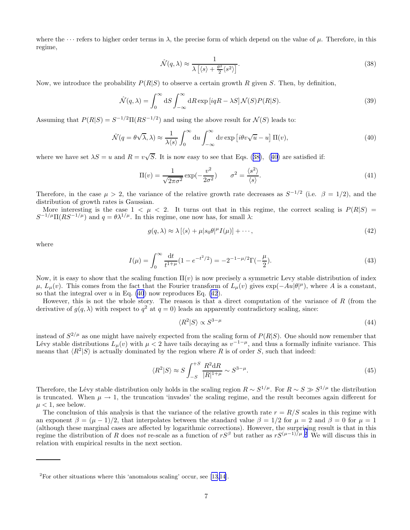<span id="page-6-0"></span>where the  $\cdots$  refers to higher order terms in  $\lambda$ , the precise form of which depend on the value of  $\mu$ . Therefore, in this regime,

$$
\hat{\mathcal{N}}(q,\lambda) \approx \frac{1}{\lambda \left[ \langle s \rangle + \frac{\theta^2}{2} \langle s^2 \rangle \right]}.
$$
\n(38)

Now, we introduce the probability  $P(R|S)$  to observe a certain growth R given S. Then, by definition,

$$
\hat{\mathcal{N}}(q,\lambda) = \int_0^\infty dS \int_{-\infty}^\infty dR \exp[iqR - \lambda S] \mathcal{N}(S) P(R|S). \tag{39}
$$

Assuming that  $P(R|S) = S^{-1/2} \Pi(RS^{-1/2})$  and using the above result for  $\mathcal{N}(S)$  leads to:

$$
\hat{\mathcal{N}}(q = \theta\sqrt{\lambda}, \lambda) \approx \frac{1}{\lambda \langle s \rangle} \int_0^\infty du \int_{-\infty}^\infty dv \exp\left[i\theta v \sqrt{u} - u\right] \Pi(v),\tag{40}
$$

where we have set  $\lambda S = u$  and  $R = v\sqrt{S}$ . It is now easy to see that Eqs. (38), (40) are satisfied if:

$$
\Pi(v) = \frac{1}{\sqrt{2\pi\sigma^2}} \exp(-\frac{v^2}{2\sigma^2}) \qquad \sigma^2 = \frac{\langle s^2 \rangle}{\langle s \rangle}.
$$
\n(41)

Therefore, in the case  $\mu > 2$ , the variance of the relative growth rate decreases as  $S^{-1/2}$  (i.e.  $\beta = 1/2$ ), and the distribution of growth rates is Gaussian.

More interesting is the case  $1 < \mu < 2$ . It turns out that in this regime, the correct scaling is  $P(R|S)$  $S^{-1/\mu} \Pi(RS^{-1/\mu})$  and  $q = \theta \lambda^{1/\mu}$ . In this regime, one now has, for small  $\lambda$ :

$$
g(q,\lambda) \approx \lambda \left[ \langle s \rangle + \mu | s_0 \theta |^\mu I(\mu) \right] + \cdots, \tag{42}
$$

where

$$
I(\mu) = \int_0^\infty \frac{\mathrm{d}t}{t^{1+\mu}} (1 - e^{-t^2/2}) = -2^{-1-\mu/2} \Gamma(-\frac{\mu}{2}).\tag{43}
$$

Now, it is easy to show that the scaling function  $\Pi(v)$  is now precisely a symmetric Levy stable distribution of index  $\mu$ ,  $L_{\mu}(v)$ . This comes from the fact that the Fourier transform of  $L_{\mu}(v)$  gives  $\exp(-Au|\theta|^{\mu})$ , where A is a constant, so that the integral over  $u$  in Eq. (40) now reproduces Eq. (42).

However, this is not the whole story. The reason is that a direct computation of the variance of  $R$  (from the derivative of  $g(q, \lambda)$  with respect to  $q^2$  at  $q = 0$ ) leads an apparently contradictory scaling, since:

$$
\langle R^2 | S \rangle \propto S^{3-\mu} \tag{44}
$$

instead of  $S^{2/\mu}$  as one might have naively expected from the scaling form of  $P(R|S)$ . One should now remember that Lévy stable distributions  $L_\mu(v)$  with  $\mu < 2$  have tails decaying as  $v^{-1-\mu}$ , and thus a formally infinite variance. This means that  $\langle R^2|S \rangle$  is actually dominated by the region where R is of order S, such that indeed:

$$
\langle R^2|S\rangle \approx S \int_{-S}^{+S} \frac{R^2 \mathrm{d}R}{|R|^{1+\mu}} \sim S^{3-\mu}.\tag{45}
$$

Therefore, the Lévy stable distribution only holds in the scaling region  $R \sim S^{1/\mu}$ . For  $R \sim S \gg S^{1/\mu}$  the distribution is truncated. When  $\mu \to 1$ , the truncation 'invades' the scaling regime, and the result becomes again different for  $\mu$  < 1, see below.

The conclusion of this analysis is that the variance of the relative growth rate  $r = R/S$  scales in this regime with an exponent  $\beta = (\mu - 1)/2$ , that interpolates between the standard value  $\beta = 1/2$  for  $\mu = 2$  and  $\beta = 0$  for  $\mu = 1$ (although these marginal cases are affected by logarithmic corrections). However, the surprising result is that in this regime the distribution of R does not re-scale as a function of  $rS^{\beta}$  but rather as  $rS^{(\mu-1)/\mu}$ .<sup>2</sup> We will discuss this in relation with empirical results in the next section.

<sup>&</sup>lt;sup>2</sup>For other situations where this 'anomalous scaling' occur, see [\[13](#page-9-0),[14](#page-9-0)].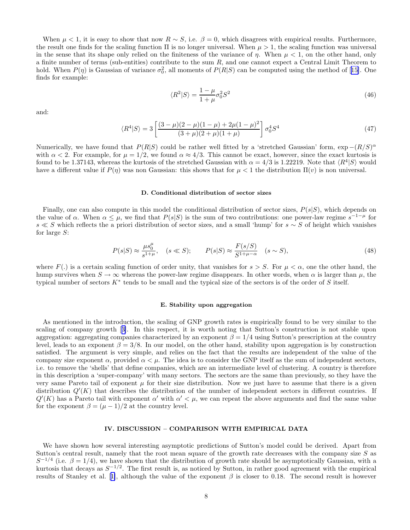<span id="page-7-0"></span>When  $\mu < 1$ , it is easy to show that now  $R \sim S$ , i.e.  $\beta = 0$ , which disagrees with empirical results. Furthermore, the result one finds for the scaling function  $\Pi$  is no longer universal. When  $\mu > 1$ , the scaling function was universal in the sense that its shape only relied on the finiteness of the variance of  $\eta$ . When  $\mu < 1$ , on the other hand, only a finite number of terms (sub-entities) contribute to the sum  $R$ , and one cannot expect a Central Limit Theorem to hold.When  $P(\eta)$  is Gaussian of variance  $\sigma_0^2$ , all moments of  $P(R|S)$  can be computed using the method of [[15\]](#page-9-0). One finds for example:

$$
\langle R^2|S\rangle = \frac{1-\mu}{1+\mu}\sigma_0^2 S^2\tag{46}
$$

and:

$$
\langle R^4|S\rangle = 3\left[\frac{(3-\mu)(2-\mu)(1-\mu)+2\mu(1-\mu)^2}{(3+\mu)(2+\mu)(1+\mu)}\right]\sigma_0^4 S^4\tag{47}
$$

Numerically, we have found that  $P(R|S)$  could be rather well fitted by a 'stretched Gaussian' form,  $\exp -(R/S)^{\alpha}$ with  $\alpha < 2$ . For example, for  $\mu = 1/2$ , we found  $\alpha \approx 4/3$ . This cannot be exact, however, since the exact kurtosis is found to be 1.37143, whereas the kurtosis of the stretched Gaussian with  $\alpha = 4/3$  is 1.22219. Note that  $\langle R^4|S \rangle$  would have a different value if  $P(\eta)$  was non Gaussian: this shows that for  $\mu < 1$  the distribution  $\Pi(v)$  is non universal.

#### D. Conditional distribution of sector sizes

Finally, one can also compute in this model the conditional distribution of sector sizes,  $P(s|S)$ , which depends on the value of  $\alpha$ . When  $\alpha \leq \mu$ , we find that  $P(s|S)$  is the sum of two contributions: one power-law regime  $s^{-1-\mu}$  for s  $\leq S$  which reflects the a priori distribution of sector sizes, and a small 'hump' for s  $\sim S$  of height which vanishes for large S:

$$
P(s|S) \approx \frac{\mu s_0^{\mu}}{s^{1+\mu}}, \quad (s \ll S); \qquad P(s|S) \approx \frac{F(s/S)}{S^{1+\mu-\alpha}} \quad (s \sim S), \tag{48}
$$

where  $F(.)$  is a certain scaling function of order unity, that vanishes for  $s > S$ . For  $\mu < \alpha$ , one the other hand, the hump survives when  $S \to \infty$  whereas the power-law regime disappears. In other words, when  $\alpha$  is larger than  $\mu$ , the typical number of sectors  $K^*$  tends to be small and the typical size of the sectors is of the order of S itself.

#### E. Stability upon aggregation

As mentioned in the introduction, the scaling of GNP growth rates is empirically found to be very similar to the scaling of company growth[[3\]](#page-9-0). In this respect, it is worth noting that Sutton's construction is not stable upon aggregation: aggregating companies characterized by an exponent  $\beta = 1/4$  using Sutton's prescription at the country level, leads to an exponent  $\beta = 3/8$ . In our model, on the other hand, stability upon aggregation is by construction satisfied. The argument is very simple, and relies on the fact that the results are independent of the value of the company size exponent  $\alpha$ , provided  $\alpha < \mu$ . The idea is to consider the GNP itself as the sum of independent sectors, i.e. to remove the 'shells' that define companies, which are an intermediate level of clustering. A country is therefore in this description a 'super-company' with many sectors. The sectors are the same than previously, so they have the very same Pareto tail of exponent  $\mu$  for their size distribution. Now we just have to assume that there is a given distribution  $Q'(K)$  that describes the distribution of the number of independent sectors in different countries. If  $Q'(K)$  has a Pareto tail with exponent  $\alpha'$  with  $\alpha' < \mu$ , we can repeat the above arguments and find the same value for the exponent  $\beta = (\mu - 1)/2$  at the country level.

## IV. DISCUSSION – COMPARISON WITH EMPIRICAL DATA

We have shown how several interesting asymptotic predictions of Sutton's model could be derived. Apart from Sutton's central result, namely that the root mean square of the growth rate decreases with the company size  $S$  as  $S^{-1/4}$  (i.e.  $\beta = 1/4$ ), we have shown that the distribution of growth rate should be asymptotically Gaussian, with a kurtosis that decays as  $S^{-1/2}$ . The first result is, as noticed by Sutton, in rather good agreement with the empirical resultsof Stanley et al. [[1\]](#page-9-0), although the value of the exponent  $\beta$  is closer to 0.18. The second result is however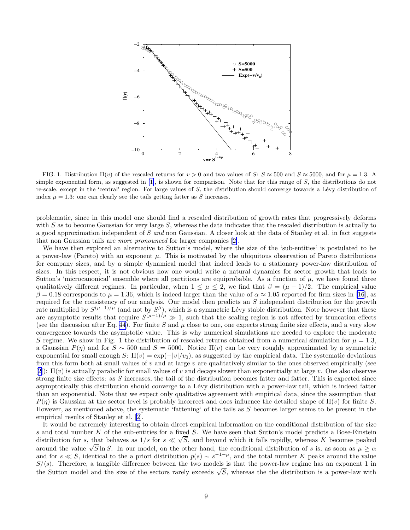

FIG. 1. Distribution  $\Pi(v)$  of the rescaled returns for  $v > 0$  and two values of S:  $S \approx 500$  and  $S \approx 5000$ , and for  $\mu = 1.3$ . A simple exponential form, as suggested in [\[1\]](#page-9-0), is shown for comparison. Note that for this range of  $S$ , the distributions do not re-scale, except in the 'central' region. For large values of  $S$ , the distribution should converge towards a Lévy distribution of index  $\mu = 1.3$ : one can clearly see the tails getting fatter as S increases.

problematic, since in this model one should find a rescaled distribution of growth rates that progressively deforms with S as to become Gaussian for very large S, whereas the data indicates that the rescaled distribution is actually to a good approximation independent of S and non Gaussian. A closer look at the data of Stanley et al. in fact suggests that non Gaussian tails are more pronounced for larger companies[[2\]](#page-9-0).

We have then explored an alternative to Sutton's model, where the size of the 'sub-entities' is postulated to be a power-law (Pareto) with an exponent  $\mu$ . This is motivated by the ubiquitous observation of Pareto distributions for company sizes, and by a simple dynamical model that indeed leads to a stationary power-law distribution of sizes. In this respect, it is not obvious how one would write a natural dynamics for sector growth that leads to Sutton's 'microcanonical' ensemble where all partitions are equiprobable. As a function of  $\mu$ , we have found three qualitatively different regimes. In particular, when  $1 \leq \mu \leq 2$ , we find that  $\beta = (\mu - 1)/2$ . The empirical value  $\beta = 0.18$  corresponds to  $\mu = 1.36$ , which is indeed larger than the value of  $\alpha \approx 1.05$  reported for firm sizes in [\[16](#page-9-0)], as required for the consistency of our analysis. Our model then predicts an S independent distribution for the growth rate multiplied by  $S^{(\mu-1)/\mu}$  (and not by  $S^{\beta}$ ), which is a symmetric Lévy stable distribution. Note however that these are asymptotic results that require  $S^{(\mu-1)/\mu} \gg 1$ , such that the scaling region is not affected by truncation effects (see the discussion after Eq. [44\)](#page-6-0). For finite S and  $\mu$  close to one, one expects strong finite size effects, and a very slow convergence towards the asymptotic value. This is why numerical simulations are needed to explore the moderate S regime. We show in Fig. 1 the distribution of rescaled returns obtained from a numerical simulation for  $\mu = 1.3$ , a Gaussian  $P(\eta)$  and for  $S \sim 500$  and  $S = 5000$ . Notice  $\Pi(v)$  can be very roughly approximated by a symmetric exponential for small enough S:  $\Pi(v) = \exp(-|v|/v_0)$ , as suggested by the empirical data. The systematic deviations from this form both at small values of  $v$  and at large  $v$  are qualitatively similar to the ones observed empirically (see [[2\]](#page-9-0)):  $\Pi(v)$  is actually parabolic for small values of v and decays slower than exponentially at large v. One also observes strong finite size effects: as  $S$  increases, the tail of the distribution becomes fatter and fatter. This is expected since asymptotically this distribution should converge to a Lévy distribution with a power-law tail, which is indeed fatter than an exponential. Note that we expect only qualitative agreement with empirical data, since the assumption that  $P(\eta)$  is Gaussian at the sector level is probably incorrect and does influence the detailed shape of  $\Pi(v)$  for finite S. However, as mentioned above, the systematic 'fattening' of the tails as S becomes larger seems to be present in the empirical results of Stanley et al. [\[2](#page-9-0)].

It would be extremely interesting to obtain direct empirical information on the conditional distribution of the size s and total number K of the sub-entities for a fixed S. We have seen that Sutton's model predicts a Bose-Einstein distribution for s, that behaves as  $1/s$  for  $s \ll \sqrt{S}$ , and beyond which it falls rapidly, whereas K becomes peaked around the value  $\sqrt{S} \ln S$ . In our model, on the other hand, the conditional distribution of s is, as soon as  $\mu \ge \alpha$ and for  $s \ll S$ , identical to the a priori distribution  $p(s) \sim s^{-1-\mu}$ , and the total number K peaks around the value  $S/\langle s \rangle$ . Therefore, a tangible difference between the two models is that the power-law regime has an exponent 1 in the Sutton model and the size of the sectors rarely exceeds  $\sqrt{S}$ , whereas the the distribution is a power-law with